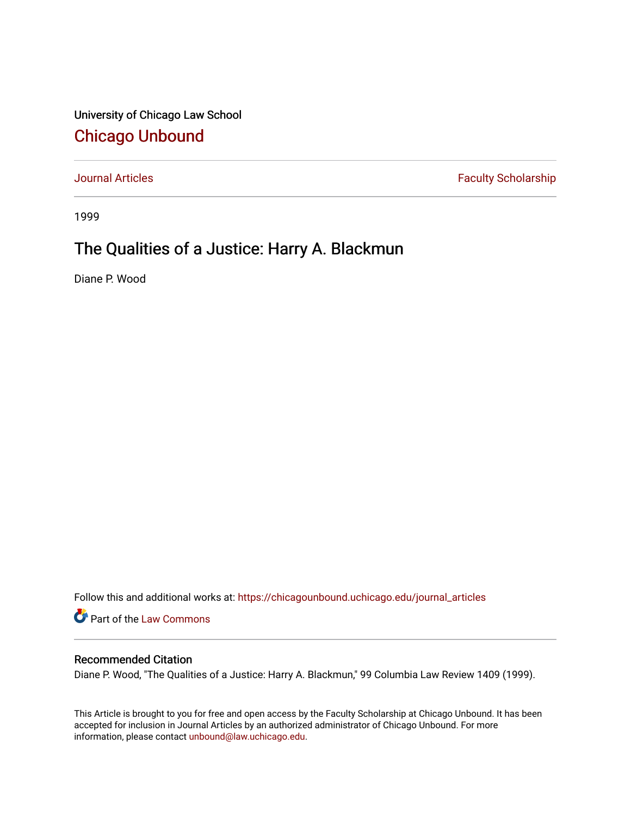University of Chicago Law School [Chicago Unbound](https://chicagounbound.uchicago.edu/)

[Journal Articles](https://chicagounbound.uchicago.edu/journal_articles) **Faculty Scholarship Faculty Scholarship** 

1999

## The Qualities of a Justice: Harry A. Blackmun

Diane P. Wood

Follow this and additional works at: [https://chicagounbound.uchicago.edu/journal\\_articles](https://chicagounbound.uchicago.edu/journal_articles?utm_source=chicagounbound.uchicago.edu%2Fjournal_articles%2F2047&utm_medium=PDF&utm_campaign=PDFCoverPages) 

Part of the [Law Commons](http://network.bepress.com/hgg/discipline/578?utm_source=chicagounbound.uchicago.edu%2Fjournal_articles%2F2047&utm_medium=PDF&utm_campaign=PDFCoverPages)

## Recommended Citation

Diane P. Wood, "The Qualities of a Justice: Harry A. Blackmun," 99 Columbia Law Review 1409 (1999).

This Article is brought to you for free and open access by the Faculty Scholarship at Chicago Unbound. It has been accepted for inclusion in Journal Articles by an authorized administrator of Chicago Unbound. For more information, please contact [unbound@law.uchicago.edu](mailto:unbound@law.uchicago.edu).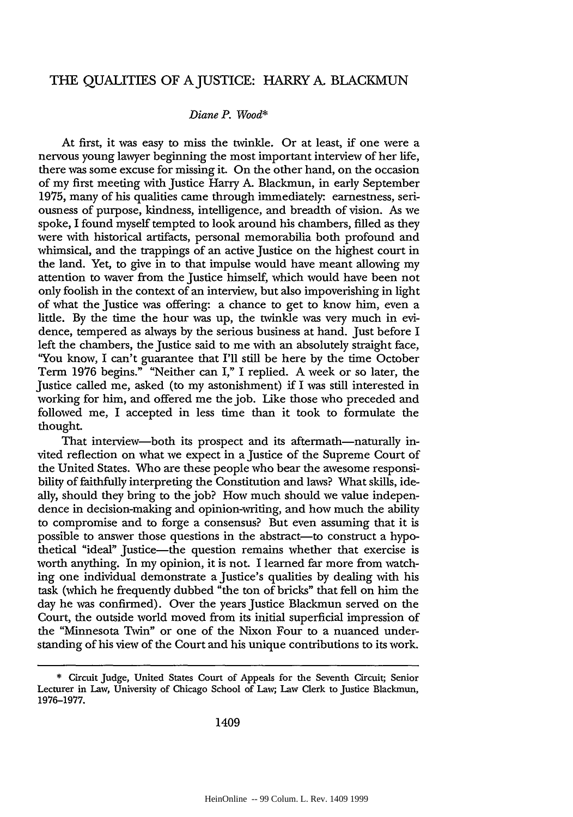## THE QUALITIES OF A JUSTICE: HARRY A. BLACKMUN

## *Diane P. Wood\**

At first, it was easy to miss the twinkle. Or at least, if one were a nervous young lawyer beginning the most important interview of her life, there was some excuse for missing it. On the other hand, on the occasion of my first meeting with Justice Harry A. Blackmun, in early September 1975, many of his qualities came through immediately: earnestness, seriousness of purpose, kindness, intelligence, and breadth of vision. As we spoke, I found myself tempted to look around his chambers, filled as they were with historical artifacts, personal memorabilia both profound and whimsical, and the trappings of an active Justice on the highest court in the land. Yet, to give in to that impulse would have meant allowing my attention to waver from the Justice himself, which would have been not only foolish in the context of an interview, but also impoverishing in light of what the Justice was offering: a chance to get to know him, even a little. By the time the hour was up, the twinkle was very much in evidence, tempered as always by the serious business at hand. Just before I left the chambers, the Justice said to me with an absolutely straight face, "You know, I can't guarantee that I'll still be here by the time October Term 1976 begins." "Neither can I," I replied. A week or so later, the Justice called me, asked (to my astonishment) if I was still interested in working for him, and offered me the job. Like those who preceded and followed me, I accepted in less time than it took to formulate the thought.

That interview—both its prospect and its aftermath—naturally invited reflection on what we expect in a Justice of the Supreme Court of the United States. Who are these people who bear the awesome responsibility of faithfully interpreting the Constitution and laws? What skills, ideally, should they bring to the **job?** How much should we value independence in decision-making and opinion-writing, and how much the ability to compromise and to forge a consensus? But even assuming that it is possible to answer those questions in the abstract—to construct a hypothetical "ideal" Justice-the question remains whether that exercise is worth anything. In my opinion, it is not. I learned far more from watching one individual demonstrate a Justice's qualities by dealing with his task (which he frequently dubbed "the ton of bricks" that fell on him the day he was confirmed). Over the years Justice Blackmun served on the Court, the outside world moved from its initial superficial impression of the "Minnesota Twin" or one of the Nixon Four to a nuanced understanding of his view of the Court and his unique contributions to its work.

<sup>\*</sup> Circuit Judge, United States Court of Appeals for the Seventh Circuit; Senior Lecturer in Law, University of Chicago School of Law; Law Clerk to Justice Blackmun, 1976-1977.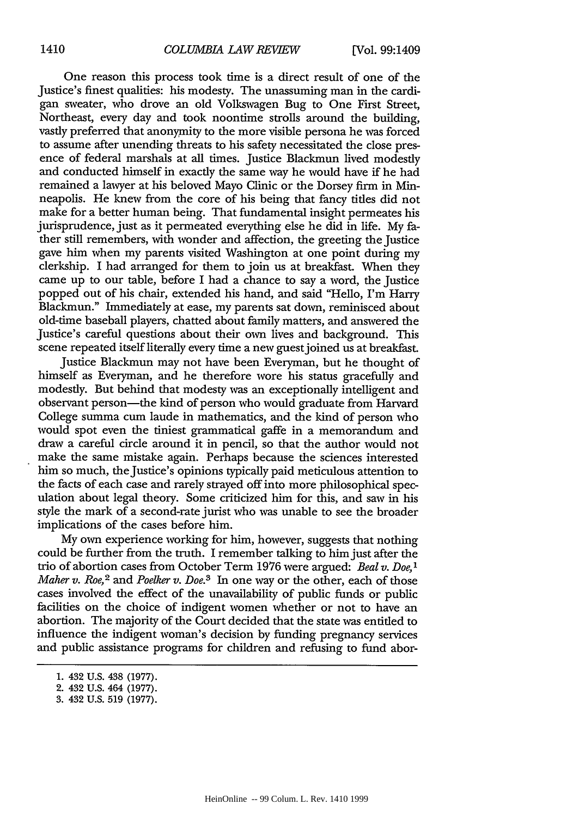One reason this process took time is a direct result of one of the Justice's finest qualities: his modesty. The unassuming man in the cardigan sweater, who drove an old Volkswagen Bug to One First Street, Northeast, every day and took noontime strolls around the building, vastly preferred that anonymity to the more visible persona he was forced to assume after unending threats to his safety necessitated the close presence of federal marshals at all times. Justice Blackmun lived modestly and conducted himself in exactly the same way he would have if he had remained a lawyer at his beloved Mayo Clinic or the Dorsey firm in Minneapolis. He knew from the core of his being that fancy tiles did not make for a better human being. That fundamental insight permeates his jurisprudence, just as it permeated everything else he did in life. My father still remembers, with wonder and affection, the greeting the Justice gave him when my parents visited Washington at one point during my clerkship. I had arranged for them to join us at breakfast. When they came up to our table, before I had a chance to say a word, the Justice popped out of his chair, extended his hand, and said "Hello, I'm Harry Blackmun." Immediately at ease, my parents sat down, reminisced about old-time baseball players, chatted about family matters, and answered the Justice's careful questions about their own lives and background. This scene repeated itself literally every time a new guestjoined us at breakfast.

Justice Blackmun may not have been Everyman, but he thought of himself as Everyman, and he therefore wore his status gracefully and modestly. But behind that modesty was an exceptionally intelligent and observant person-the kind of person who would graduate from Harvard College summa cum laude in mathematics, and the kind of person who would spot even the tiniest grammatical gaffe in a memorandum and draw a careful circle around it in pencil, so that the author would not make the same mistake again. Perhaps because the sciences interested him so much, the Justice's opinions typically paid meticulous attention to the facts of each case and rarely strayed off into more philosophical speculation about legal theory. Some criticized him for this, and saw in his style the mark of a second-rate jurist who was unable to see the broader implications of the cases before him.

My own experience working for him, however, suggests that nothing could be further from the truth. I remember talking to him just after the trio of abortion cases from October Term 1976 were argued: *Beal v. Doe,' Maher v. Roe,<sup>2</sup>* and *Poelker v. Doe.<sup>3</sup> In one way or the other, each of those* cases involved the effect of the unavailability of public funds or public facilities on the choice of indigent women whether or not to have an abortion. The majority of the Court decided that the state was entitled to influence the indigent woman's decision by funding pregnancy services and public assistance programs for children and refusing to fund abor-

<sup>1. 432</sup> U.S. 438 (1977).

<sup>2. 432</sup> U.S. 464 (1977).

<sup>3. 432</sup> U.S. 519 (1977).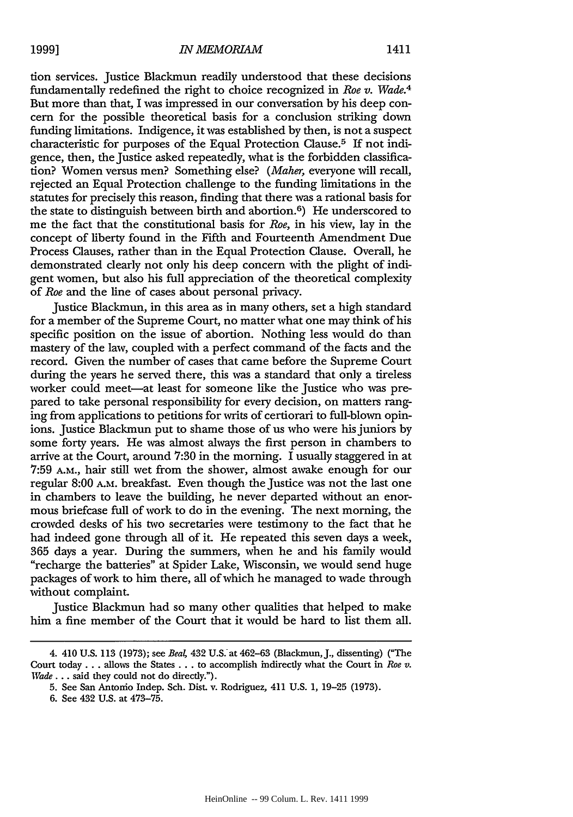tion services. Justice Blackmun readily understood that these decisions fundamentally redefined the right to choice recognized in *Roe v. Wade.4* But more than that, I was impressed in our conversation by his deep concern for the possible theoretical basis for a conclusion striking down funding limitations. Indigence, it was established by then, is not a suspect characteristic for purposes of the Equal Protection Clause.<sup>5</sup> If not indigence, then, the Justice asked repeatedly, what is the forbidden classification? Women versus men? Something else? *(Maher,* everyone will recall, rejected an Equal Protection challenge to the funding limitations in the statutes for precisely this reason, finding that there was a rational basis for the state to distinguish between birth and abortion.<sup>6</sup>) He underscored to me the fact that the constitutional basis for *Roe,* in his view, lay in the concept of liberty found in the Fifth and Fourteenth Amendment Due Process Clauses, rather than in the Equal Protection Clause. Overall, he demonstrated clearly not only his deep concern with the plight of indigent women, but also his full appreciation of the theoretical complexity of *Roe* and the line of cases about personal privacy.

Justice Blackmun, in this area as in many others, set a high standard for a member of the Supreme Court, no matter what one may think of his specific position on the issue of abortion. Nothing less would do than mastery of the law, coupled with a perfect command of the facts and the record. Given the number of cases that came before the Supreme Court during the years he served there, this was a standard that only a tireless worker could meet-at least for someone like the Justice who was prepared to take personal responsibility for every decision, on matters ranging from applications to petitions for writs of certiorari to full-blown opinions. Justice Blackmun put to shame those of us who were his juniors by some forty years. He was almost always the first person in chambers to arrive at the Court, around 7:30 in the morning. I usually staggered in at 7:59 A.M., hair still wet from the shower, almost awake enough for our regular 8:00 A.M. breakfast. Even though the Justice was not the last one in chambers to leave the building, he never departed without an enormous briefcase full of work to do in the evening. The next morning, the crowded desks of his two secretaries were testimony to the fact that he had indeed gone through all of it. He repeated this seven days a week, 365 days a year. During the summers, when he and his family would "recharge the batteries" at Spider Lake, Wisconsin, we would send huge packages of work to him there, all of which he managed to wade through without complaint.

Justice Blackmun had so many other qualities that helped to make him a fine member of the Court that it would be hard to list them all.

<sup>4. 410</sup> U.S. 113 (1973); see *Bea4* 432 U.S. at 462-63 (Blackmun, J., dissenting) ("The Court today... allows the States... to accomplish indirectly what the Court in *Roe v.* Wade... said they could not do directly.").

**<sup>5.</sup>** See San Antonio Indep. Sch. Dist. v. Rodriguez, 411 U.S. 1, 19-25 (1973).

**<sup>6.</sup>** See 432 U.S. at 473-75.